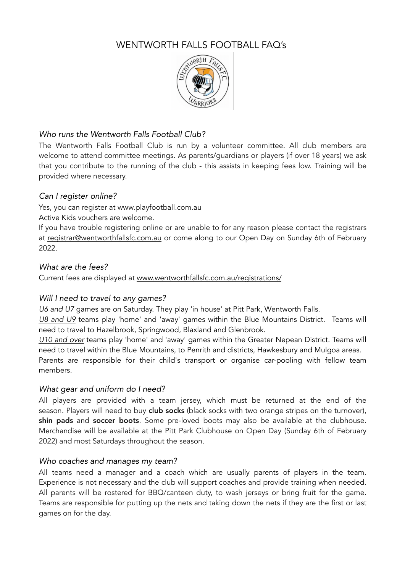# WENTWORTH FALLS FOOTBALL FAQ's



# *Who runs the Wentworth Falls Football Club?*

The Wentworth Falls Football Club is run by a volunteer committee. All club members are welcome to attend committee meetings. As parents/guardians or players (if over 18 years) we ask that you contribute to the running of the club - this assists in keeping fees low. Training will be provided where necessary.

# *Can I register online?*

Yes, you can register at [www.playfootball.com.au](http://www.playfootball.com.au)

Active Kids vouchers are welcome.

If you have trouble registering online or are unable to for any reason please contact the registrars at [registrar@wentworthfallsfc.com.au](mailto:registrar@wentworthfallsfc.com.au) or come along to our Open Day on Sunday 6th of February 2022.

## *What are the fees?*

Current fees are displayed at [www.wentworthfallsfc.com.au/registrations/](http://www.wentworthfallsfc.com.au/registrations/)

# *Will I need to travel to any games?*

*U6 and U7* games are on Saturday. They play 'in house' at Pitt Park, Wentworth Falls.

*U8 and U9* teams play 'home' and 'away' games within the Blue Mountains District. Teams will need to travel to Hazelbrook, Springwood, Blaxland and Glenbrook.

*U10 and over* teams play 'home' and 'away' games within the Greater Nepean District. Teams will need to travel within the Blue Mountains, to Penrith and districts, Hawkesbury and Mulgoa areas. Parents are responsible for their child's transport or organise car-pooling with fellow team members.

# *What gear and uniform do I need?*

All players are provided with a team jersey, which must be returned at the end of the season. Players will need to buy club socks (black socks with two orange stripes on the turnover), shin pads and soccer boots. Some pre-loved boots may also be available at the clubhouse. Merchandise will be available at the Pitt Park Clubhouse on Open Day (Sunday 6th of February 2022) and most Saturdays throughout the season.

# *Who coaches and manages my team?*

All teams need a manager and a coach which are usually parents of players in the team. Experience is not necessary and the club will support coaches and provide training when needed. All parents will be rostered for BBQ/canteen duty, to wash jerseys or bring fruit for the game. Teams are responsible for putting up the nets and taking down the nets if they are the first or last games on for the day.